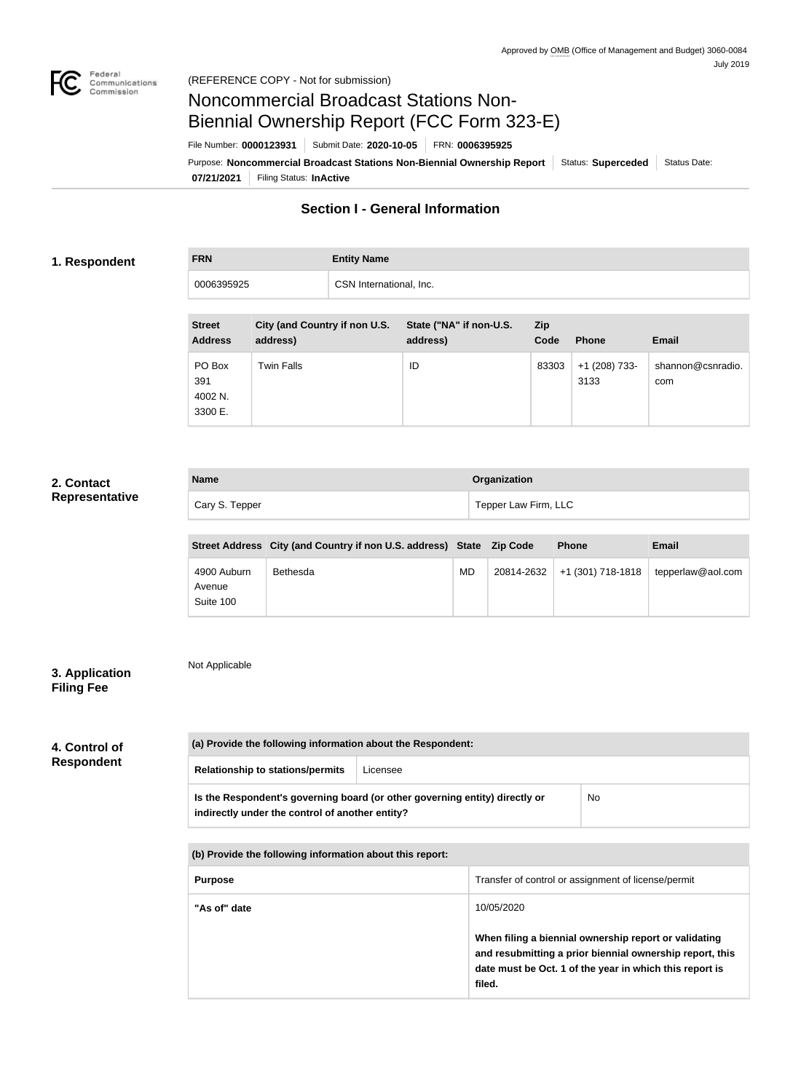

# Noncommercial Broadcast Stations Non-Biennial Ownership Report (FCC Form 323-E)

File Number: **0000123931** Submit Date: **2020-10-05** FRN: **0006395925**

**07/21/2021** Filing Status: **InActive** Purpose: Noncommercial Broadcast Stations Non-Biennial Ownership Report Status: Superceded Status Date:

# **Section I - General Information**

#### **1. Respondent**

# **FRN Entity Name** 0006395925 CSN International, Inc.

| <b>Street</b><br><b>Address</b>     | City (and Country if non U.S.<br>address) | State ("NA" if non-U.S.<br>address) | <b>Zip</b><br>Code | <b>Phone</b>            | <b>Email</b>             |
|-------------------------------------|-------------------------------------------|-------------------------------------|--------------------|-------------------------|--------------------------|
| PO Box<br>391<br>4002 N.<br>3300 E. | <b>Twin Falls</b>                         | ID                                  | 83303              | $+1$ (208) 733-<br>3133 | shannon@csnradio.<br>com |

#### **2. Contact Representative**

| <b>Name</b>    | Organization         |
|----------------|----------------------|
| Cary S. Tepper | Tepper Law Firm, LLC |

|                                    | Street Address City (and Country if non U.S. address) State Zip Code |    |            | <b>Phone</b>      | <b>Email</b>      |
|------------------------------------|----------------------------------------------------------------------|----|------------|-------------------|-------------------|
| 4900 Auburn<br>Avenue<br>Suite 100 | Bethesda                                                             | MD | 20814-2632 | +1 (301) 718-1818 | tepperlaw@aol.com |

### **3. Application Filing Fee**

Not Applicable

### **4. Control of Respondent**

| (a) Provide the following information about the Respondent:                                                                    |          |    |
|--------------------------------------------------------------------------------------------------------------------------------|----------|----|
| <b>Relationship to stations/permits</b>                                                                                        | Licensee |    |
| Is the Respondent's governing board (or other governing entity) directly or<br>indirectly under the control of another entity? |          | No |

**(b) Provide the following information about this report:**

| <b>Purpose</b> | Transfer of control or assignment of license/permit                                                                                                                                    |
|----------------|----------------------------------------------------------------------------------------------------------------------------------------------------------------------------------------|
| "As of" date   | 10/05/2020                                                                                                                                                                             |
|                | When filing a biennial ownership report or validating<br>and resubmitting a prior biennial ownership report, this<br>date must be Oct. 1 of the year in which this report is<br>filed. |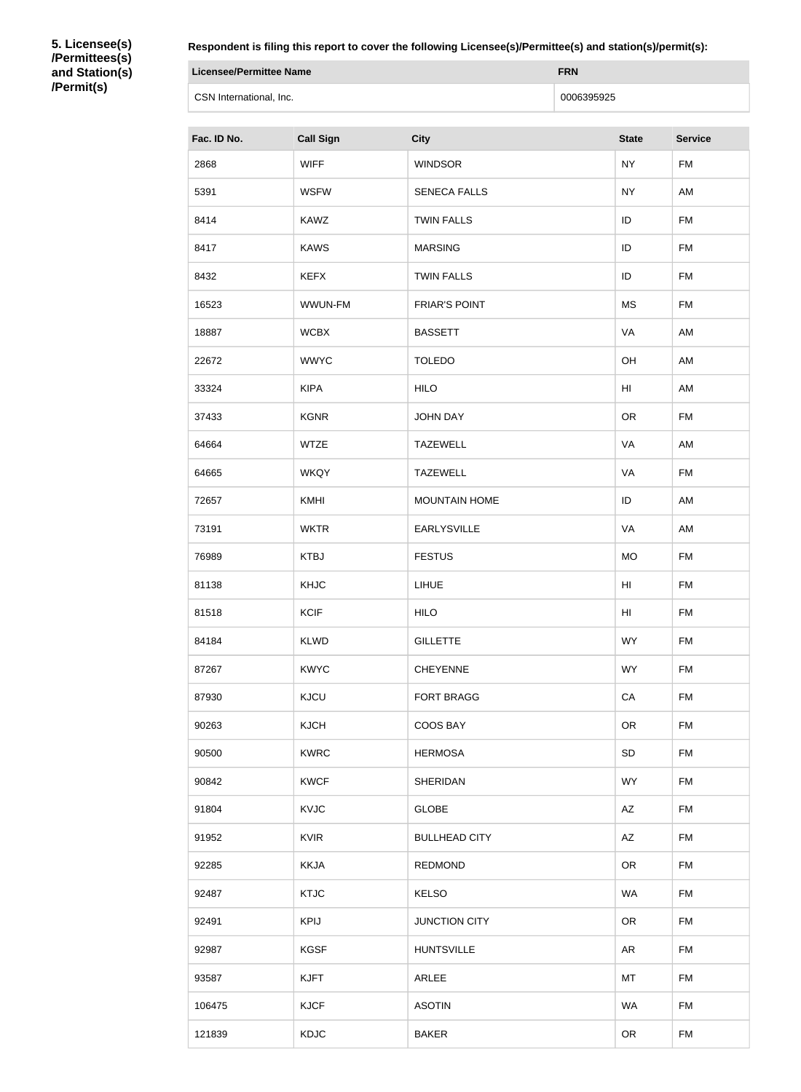**5. Licensee(s) /Permittees(s) and Station(s) /Permit(s)**

**Respondent is filing this report to cover the following Licensee(s)/Permittee(s) and station(s)/permit(s):**

| Licensee/Permittee Name | <b>FRN</b> |
|-------------------------|------------|
| CSN International, Inc. | 0006395925 |

| Fac. ID No. | <b>Call Sign</b> | <b>City</b>          | <b>State</b>    | <b>Service</b> |
|-------------|------------------|----------------------|-----------------|----------------|
| 2868        | <b>WIFF</b>      | <b>WINDSOR</b>       | <b>NY</b>       | <b>FM</b>      |
| 5391        | <b>WSFW</b>      | <b>SENECA FALLS</b>  | <b>NY</b>       | AM             |
| 8414        | <b>KAWZ</b>      | <b>TWIN FALLS</b>    | ID              | <b>FM</b>      |
| 8417        | <b>KAWS</b>      | <b>MARSING</b>       | ID              | <b>FM</b>      |
| 8432        | <b>KEFX</b>      | <b>TWIN FALLS</b>    | ID              | <b>FM</b>      |
| 16523       | WWUN-FM          | <b>FRIAR'S POINT</b> | <b>MS</b>       | <b>FM</b>      |
| 18887       | <b>WCBX</b>      | <b>BASSETT</b>       | VA              | AM             |
| 22672       | <b>WWYC</b>      | <b>TOLEDO</b>        | OH              | AM             |
| 33324       | <b>KIPA</b>      | <b>HILO</b>          | H <sub>l</sub>  | AM             |
| 37433       | <b>KGNR</b>      | <b>JOHN DAY</b>      | OR              | <b>FM</b>      |
| 64664       | <b>WTZE</b>      | <b>TAZEWELL</b>      | VA              | AM             |
| 64665       | <b>WKQY</b>      | <b>TAZEWELL</b>      | VA              | <b>FM</b>      |
| 72657       | KMHI             | <b>MOUNTAIN HOME</b> | ID              | AM             |
| 73191       | <b>WKTR</b>      | <b>EARLYSVILLE</b>   | VA              | AM             |
| 76989       | <b>KTBJ</b>      | <b>FESTUS</b>        | <b>MO</b>       | <b>FM</b>      |
| 81138       | <b>KHJC</b>      | LIHUE                | H <sub>II</sub> | <b>FM</b>      |
| 81518       | <b>KCIF</b>      | <b>HILO</b>          | H <sub>II</sub> | <b>FM</b>      |
| 84184       | <b>KLWD</b>      | <b>GILLETTE</b>      | <b>WY</b>       | <b>FM</b>      |
| 87267       | <b>KWYC</b>      | <b>CHEYENNE</b>      | <b>WY</b>       | <b>FM</b>      |
| 87930       | KJCU             | <b>FORT BRAGG</b>    | CA              | <b>FM</b>      |
| 90263       | <b>KJCH</b>      | COOS BAY             | <b>OR</b>       | FM             |
| 90500       | <b>KWRC</b>      | <b>HERMOSA</b>       | SD              | <b>FM</b>      |
| 90842       | <b>KWCF</b>      | <b>SHERIDAN</b>      | <b>WY</b>       | <b>FM</b>      |
| 91804       | KVJC             | <b>GLOBE</b>         | AZ              | <b>FM</b>      |
| 91952       | <b>KVIR</b>      | <b>BULLHEAD CITY</b> | AZ              | FM             |
| 92285       | <b>KKJA</b>      | <b>REDMOND</b>       | <b>OR</b>       | <b>FM</b>      |
| 92487       | <b>KTJC</b>      | <b>KELSO</b>         | <b>WA</b>       | <b>FM</b>      |
| 92491       | <b>KPIJ</b>      | <b>JUNCTION CITY</b> | <b>OR</b>       | <b>FM</b>      |
| 92987       | <b>KGSF</b>      | <b>HUNTSVILLE</b>    | AR              | <b>FM</b>      |
| 93587       | <b>KJFT</b>      | ARLEE                | MT              | <b>FM</b>      |
| 106475      | <b>KJCF</b>      | <b>ASOTIN</b>        | <b>WA</b>       | <b>FM</b>      |
| 121839      | KDJC             | <b>BAKER</b>         | <b>OR</b>       | FM             |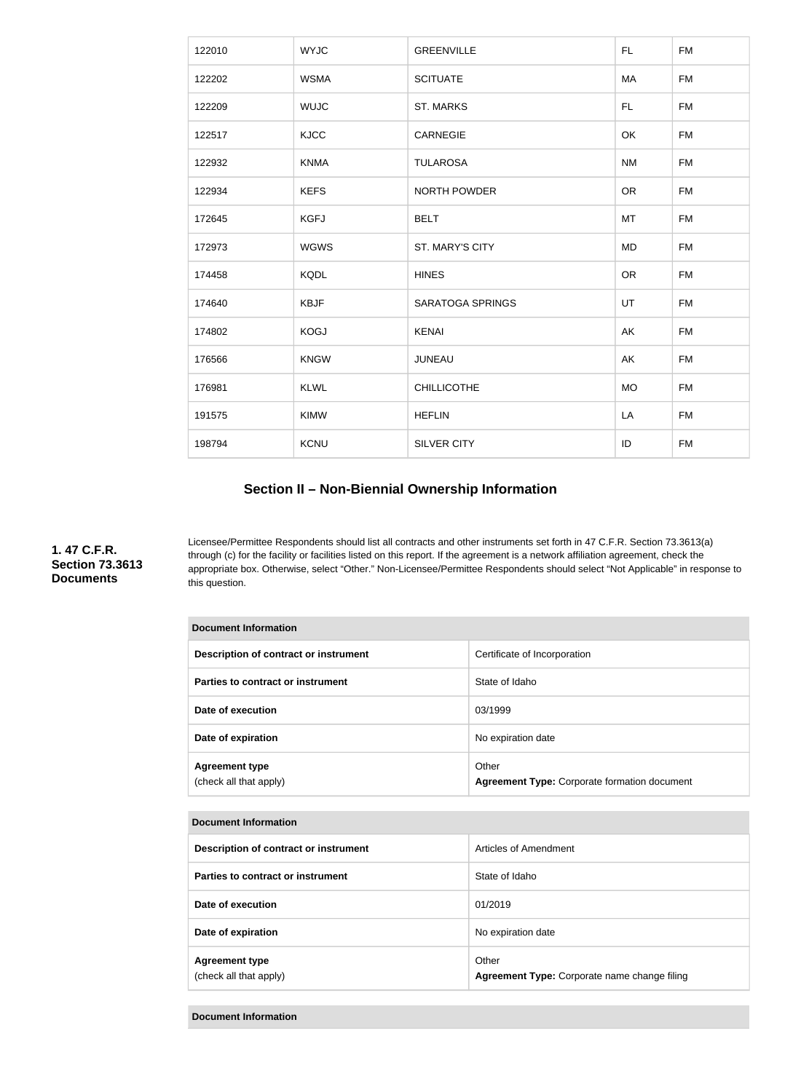| 122010 | <b>WYJC</b> | <b>GREENVILLE</b>       | FL.       | <b>FM</b> |
|--------|-------------|-------------------------|-----------|-----------|
| 122202 | <b>WSMA</b> | <b>SCITUATE</b>         | MA        | <b>FM</b> |
| 122209 | <b>WUJC</b> | <b>ST. MARKS</b>        | <b>FL</b> | <b>FM</b> |
| 122517 | <b>KJCC</b> | <b>CARNEGIE</b>         | OK        | <b>FM</b> |
| 122932 | <b>KNMA</b> | <b>TULAROSA</b>         | <b>NM</b> | <b>FM</b> |
| 122934 | <b>KEFS</b> | <b>NORTH POWDER</b>     | <b>OR</b> | <b>FM</b> |
| 172645 | <b>KGFJ</b> | <b>BELT</b>             | MT        | <b>FM</b> |
| 172973 | <b>WGWS</b> | ST. MARY'S CITY         | <b>MD</b> | <b>FM</b> |
| 174458 | <b>KQDL</b> | <b>HINES</b>            | <b>OR</b> | <b>FM</b> |
| 174640 | <b>KBJF</b> | <b>SARATOGA SPRINGS</b> | UT        | <b>FM</b> |
| 174802 | <b>KOGJ</b> | <b>KENAI</b>            | AK        | <b>FM</b> |
| 176566 | <b>KNGW</b> | <b>JUNEAU</b>           | AK        | <b>FM</b> |
| 176981 | <b>KLWL</b> | <b>CHILLICOTHE</b>      | <b>MO</b> | <b>FM</b> |
| 191575 | <b>KIMW</b> | <b>HEFLIN</b>           | LA        | <b>FM</b> |
| 198794 | KCNU        | <b>SILVER CITY</b>      | ID        | <b>FM</b> |

# **Section II – Non-Biennial Ownership Information**

**1. 47 C.F.R. Section 73.3613 Documents**

Licensee/Permittee Respondents should list all contracts and other instruments set forth in 47 C.F.R. Section 73.3613(a) through (c) for the facility or facilities listed on this report. If the agreement is a network affiliation agreement, check the appropriate box. Otherwise, select "Other." Non-Licensee/Permittee Respondents should select "Not Applicable" in response to this question.

| <b>Document Information</b>                     |                                                              |  |  |
|-------------------------------------------------|--------------------------------------------------------------|--|--|
| Description of contract or instrument           | Certificate of Incorporation                                 |  |  |
| Parties to contract or instrument               | State of Idaho                                               |  |  |
| Date of execution                               | 03/1999                                                      |  |  |
| Date of expiration                              | No expiration date                                           |  |  |
| <b>Agreement type</b><br>(check all that apply) | Other<br><b>Agreement Type: Corporate formation document</b> |  |  |
|                                                 |                                                              |  |  |

| <b>Document Information</b>                     |                                                       |  |
|-------------------------------------------------|-------------------------------------------------------|--|
| Description of contract or instrument           | Articles of Amendment                                 |  |
| Parties to contract or instrument               | State of Idaho                                        |  |
| Date of execution                               | 01/2019                                               |  |
| Date of expiration                              | No expiration date                                    |  |
| <b>Agreement type</b><br>(check all that apply) | Other<br>Agreement Type: Corporate name change filing |  |

**Document Information**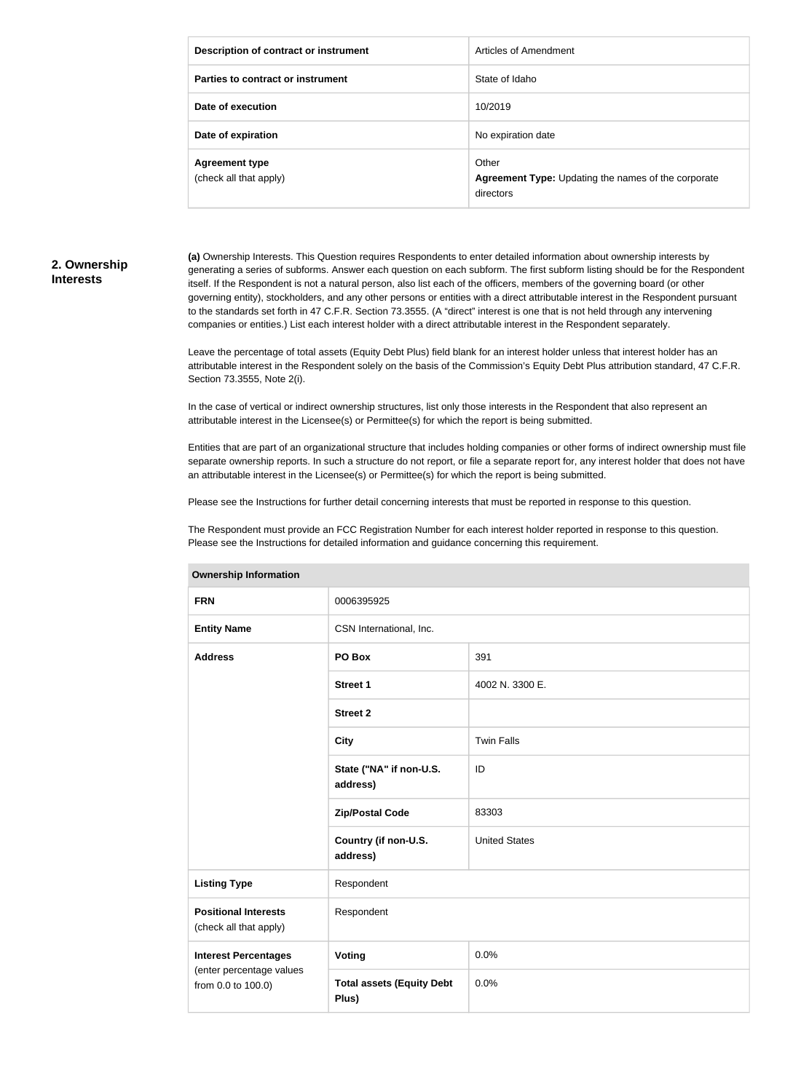| Description of contract or instrument           | Articles of Amendment                                                     |
|-------------------------------------------------|---------------------------------------------------------------------------|
| Parties to contract or instrument               | State of Idaho                                                            |
| Date of execution                               | 10/2019                                                                   |
| Date of expiration                              | No expiration date                                                        |
| <b>Agreement type</b><br>(check all that apply) | Other<br>Agreement Type: Updating the names of the corporate<br>directors |

#### **2. Ownership Interests**

**(a)** Ownership Interests. This Question requires Respondents to enter detailed information about ownership interests by generating a series of subforms. Answer each question on each subform. The first subform listing should be for the Respondent itself. If the Respondent is not a natural person, also list each of the officers, members of the governing board (or other governing entity), stockholders, and any other persons or entities with a direct attributable interest in the Respondent pursuant to the standards set forth in 47 C.F.R. Section 73.3555. (A "direct" interest is one that is not held through any intervening companies or entities.) List each interest holder with a direct attributable interest in the Respondent separately.

Leave the percentage of total assets (Equity Debt Plus) field blank for an interest holder unless that interest holder has an attributable interest in the Respondent solely on the basis of the Commission's Equity Debt Plus attribution standard, 47 C.F.R. Section 73.3555, Note 2(i).

In the case of vertical or indirect ownership structures, list only those interests in the Respondent that also represent an attributable interest in the Licensee(s) or Permittee(s) for which the report is being submitted.

Entities that are part of an organizational structure that includes holding companies or other forms of indirect ownership must file separate ownership reports. In such a structure do not report, or file a separate report for, any interest holder that does not have an attributable interest in the Licensee(s) or Permittee(s) for which the report is being submitted.

Please see the Instructions for further detail concerning interests that must be reported in response to this question.

The Respondent must provide an FCC Registration Number for each interest holder reported in response to this question. Please see the Instructions for detailed information and guidance concerning this requirement.

| <b>FRN</b>                                            | 0006395925                                |                      |
|-------------------------------------------------------|-------------------------------------------|----------------------|
| <b>Entity Name</b>                                    | CSN International, Inc.                   |                      |
| <b>Address</b>                                        | PO Box                                    | 391                  |
|                                                       | <b>Street 1</b>                           | 4002 N. 3300 E.      |
|                                                       | <b>Street 2</b>                           |                      |
|                                                       | <b>City</b>                               | <b>Twin Falls</b>    |
|                                                       | State ("NA" if non-U.S.<br>address)       | ID                   |
|                                                       | <b>Zip/Postal Code</b>                    | 83303                |
|                                                       | Country (if non-U.S.<br>address)          | <b>United States</b> |
| <b>Listing Type</b>                                   | Respondent                                |                      |
| <b>Positional Interests</b><br>(check all that apply) | Respondent                                |                      |
| <b>Interest Percentages</b>                           | Voting                                    | 0.0%                 |
| (enter percentage values<br>from 0.0 to 100.0)        | <b>Total assets (Equity Debt</b><br>Plus) | 0.0%                 |

#### **Ownership Information**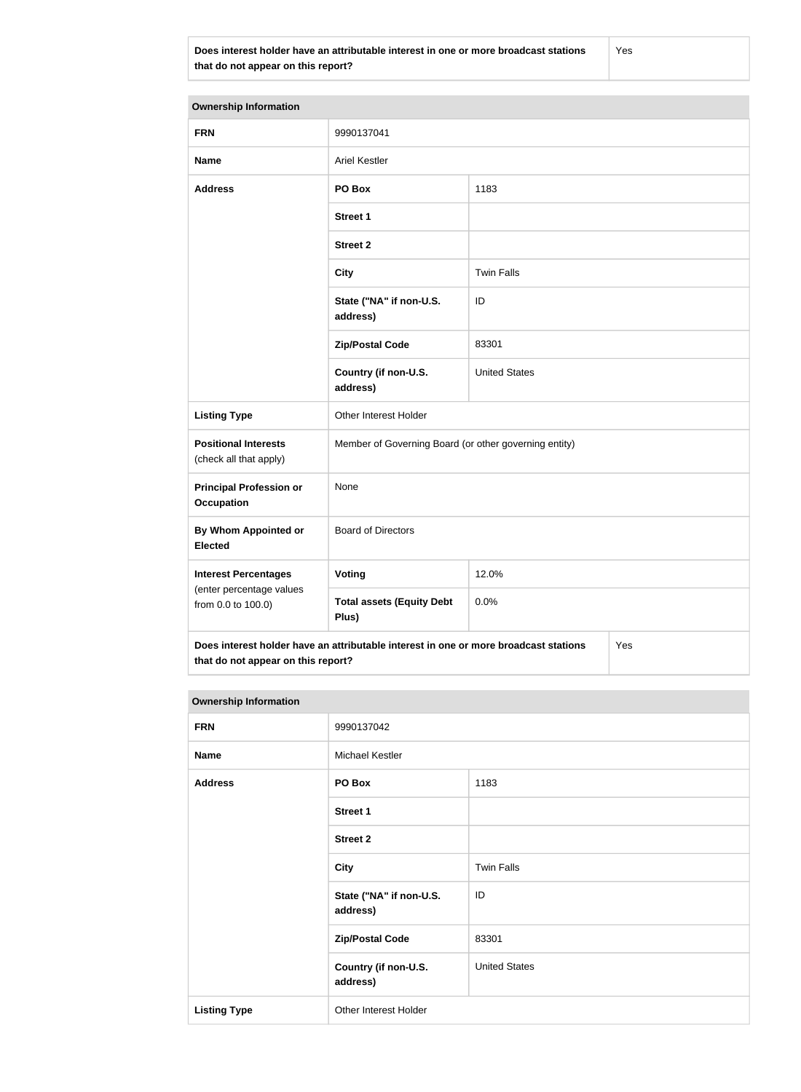**Does interest holder have an attributable interest in one or more broadcast stations that do not appear on this report?**

Yes

| <b>Ownership Information</b>                                                                                                      |                                                       |                      |  |
|-----------------------------------------------------------------------------------------------------------------------------------|-------------------------------------------------------|----------------------|--|
| <b>FRN</b>                                                                                                                        | 9990137041                                            |                      |  |
| <b>Name</b>                                                                                                                       | <b>Ariel Kestler</b>                                  |                      |  |
| <b>Address</b>                                                                                                                    | PO Box                                                | 1183                 |  |
|                                                                                                                                   | <b>Street 1</b>                                       |                      |  |
|                                                                                                                                   | <b>Street 2</b>                                       |                      |  |
|                                                                                                                                   | <b>City</b>                                           | <b>Twin Falls</b>    |  |
|                                                                                                                                   | State ("NA" if non-U.S.<br>address)                   | ID                   |  |
|                                                                                                                                   | <b>Zip/Postal Code</b>                                | 83301                |  |
|                                                                                                                                   | Country (if non-U.S.<br>address)                      | <b>United States</b> |  |
| <b>Listing Type</b>                                                                                                               | Other Interest Holder                                 |                      |  |
| <b>Positional Interests</b><br>(check all that apply)                                                                             | Member of Governing Board (or other governing entity) |                      |  |
| <b>Principal Profession or</b><br><b>Occupation</b>                                                                               | None                                                  |                      |  |
| <b>By Whom Appointed or</b><br><b>Elected</b>                                                                                     | <b>Board of Directors</b>                             |                      |  |
| <b>Interest Percentages</b><br>(enter percentage values<br>from 0.0 to 100.0)                                                     | Voting                                                | 12.0%                |  |
|                                                                                                                                   | <b>Total assets (Equity Debt</b><br>Plus)             | 0.0%                 |  |
| Does interest holder have an attributable interest in one or more broadcast stations<br>Yes<br>that do not appear on this report? |                                                       |                      |  |

| <b>Ownership Information</b> |                                     |                      |
|------------------------------|-------------------------------------|----------------------|
| <b>FRN</b>                   | 9990137042                          |                      |
| <b>Name</b>                  | Michael Kestler                     |                      |
| <b>Address</b>               | PO Box                              | 1183                 |
|                              | Street 1                            |                      |
|                              | <b>Street 2</b>                     |                      |
|                              | <b>City</b>                         | <b>Twin Falls</b>    |
|                              | State ("NA" if non-U.S.<br>address) | ID                   |
|                              | <b>Zip/Postal Code</b>              | 83301                |
|                              | Country (if non-U.S.<br>address)    | <b>United States</b> |
| <b>Listing Type</b>          | Other Interest Holder               |                      |
|                              |                                     |                      |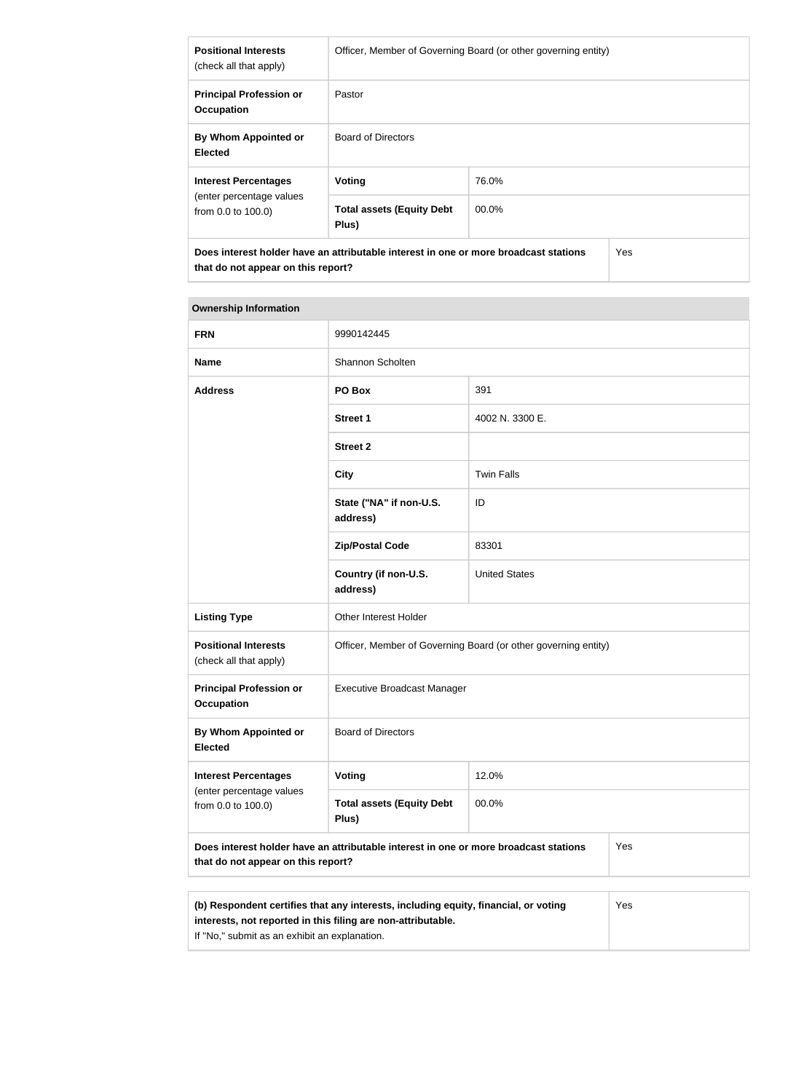| <b>Positional Interests</b><br>(check all that apply)                         | Officer, Member of Governing Board (or other governing entity)                       |       |     |
|-------------------------------------------------------------------------------|--------------------------------------------------------------------------------------|-------|-----|
| <b>Principal Profession or</b><br><b>Occupation</b>                           | Pastor                                                                               |       |     |
| By Whom Appointed or<br><b>Elected</b>                                        | Board of Directors                                                                   |       |     |
| <b>Interest Percentages</b><br>(enter percentage values<br>from 0.0 to 100.0) | Voting                                                                               | 76.0% |     |
|                                                                               | <b>Total assets (Equity Debt</b><br>Plus)                                            | 00.0% |     |
| that do not appear on this report?                                            | Does interest holder have an attributable interest in one or more broadcast stations |       | Yes |

#### **Ownership Information**

| <b>FRN</b>                                                                                                                                                 | 9990142445                                                     |                      |  |
|------------------------------------------------------------------------------------------------------------------------------------------------------------|----------------------------------------------------------------|----------------------|--|
| <b>Name</b>                                                                                                                                                | Shannon Scholten                                               |                      |  |
| <b>Address</b>                                                                                                                                             | PO Box                                                         | 391                  |  |
|                                                                                                                                                            | <b>Street 1</b>                                                | 4002 N. 3300 E.      |  |
|                                                                                                                                                            | <b>Street 2</b>                                                |                      |  |
|                                                                                                                                                            | <b>City</b>                                                    | <b>Twin Falls</b>    |  |
|                                                                                                                                                            | State ("NA" if non-U.S.<br>address)                            | ID                   |  |
|                                                                                                                                                            | <b>Zip/Postal Code</b>                                         | 83301                |  |
|                                                                                                                                                            | Country (if non-U.S.<br>address)                               | <b>United States</b> |  |
| <b>Listing Type</b>                                                                                                                                        | Other Interest Holder                                          |                      |  |
| <b>Positional Interests</b><br>(check all that apply)                                                                                                      | Officer, Member of Governing Board (or other governing entity) |                      |  |
| <b>Principal Profession or</b><br><b>Occupation</b>                                                                                                        | <b>Executive Broadcast Manager</b>                             |                      |  |
| <b>By Whom Appointed or</b><br><b>Elected</b>                                                                                                              | <b>Board of Directors</b>                                      |                      |  |
| <b>Interest Percentages</b><br>(enter percentage values<br>from 0.0 to 100.0)                                                                              | <b>Voting</b>                                                  | 12.0%                |  |
|                                                                                                                                                            | <b>Total assets (Equity Debt</b><br>Plus)                      | 00.0%                |  |
| Does interest holder have an attributable interest in one or more broadcast stations<br>Yes<br>that do not appear on this report?                          |                                                                |                      |  |
|                                                                                                                                                            |                                                                |                      |  |
| (b) Respondent certifies that any interests, including equity, financial, or voting<br>Yes<br>interests, not reported in this filing are non-attributable. |                                                                |                      |  |

If "No," submit as an exhibit an explanation.